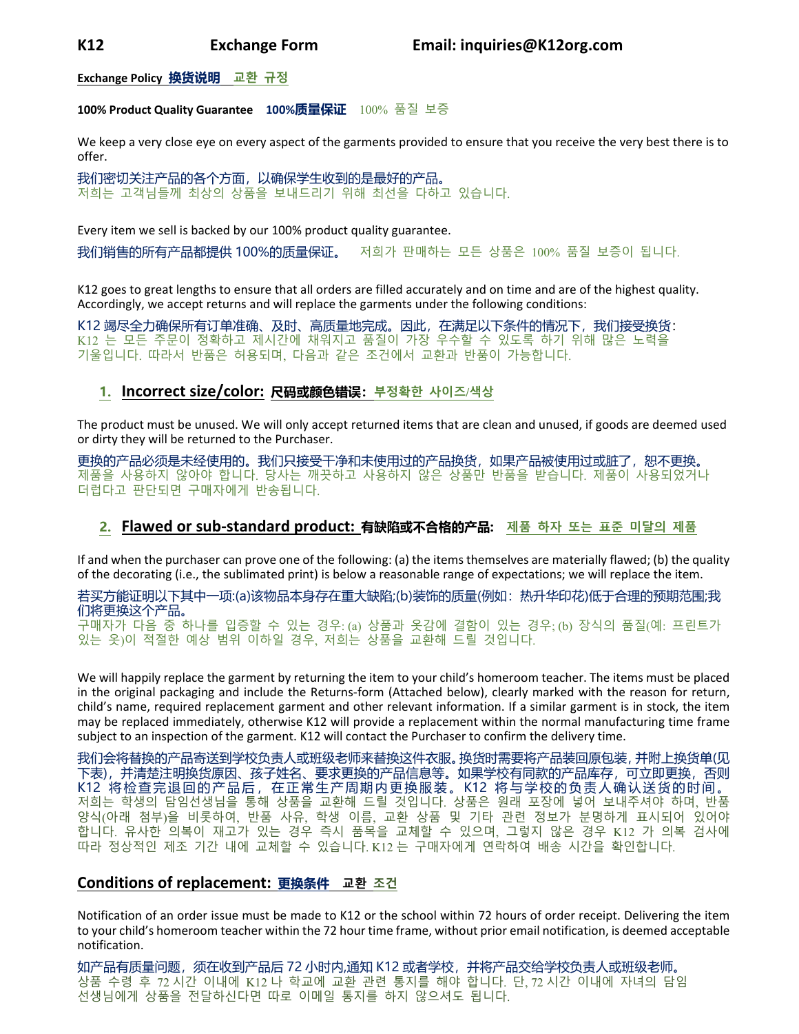**Exchange Policy 换货说明 교환 규정**

#### **100% Product Quality Guarantee 100%质量保证** 100% 품질 보증

We keep a very close eye on every aspect of the garments provided to ensure that you receive the very best there is to offer.

我们密切关注产品的各个方面,以确保学生收到的是最好的产品。 저희는 고객님들께 최상의 상품을 보내드리기 위해 최선을 다하고 있습니다.

Every item we sell is backed by our 100% product quality guarantee.

我们销售的所有产品都提供 100%的质量保证。 저희가 판매하는 모든 상품은 100% 품질 보증이 됩니다.

K12 goes to great lengths to ensure that all orders are filled accurately and on time and are of the highest quality. Accordingly, we accept returns and will replace the garments under the following conditions:

K12 竭尽全力确保所有订单准确、及时、高质量地完成。因此,在满足以下条件的情况下,我们接受换货: K12 는 모든 주문이 정확하고 제시간에 채워지고 품질이 가장 우수할 수 있도록 하기 위해 많은 노력을 기울입니다. 따라서 반품은 허용되며, 다음과 같은 조건에서 교환과 반품이 가능합니다.

## **1. Incorrect size/color: 尺码或颜色错误:부정확한 사이즈/색상**

The product must be unused. We will only accept returned items that are clean and unused, if goods are deemed used or dirty they will be returned to the Purchaser.

更换的产品必须是未经使用的。我们只接受干净和未使用过的产品换货,如果产品被使用过或脏了,恕不更换。 제품을 사용하지 않아야 합니다. 당사는 깨끗하고 사용하지 않은 상품만 반품을 받습니다. 제품이 사용되었거나 더럽다고 판단되면 구매자에게 반송됩니다.

# **2. Flawed or sub‐standard product: 有缺陷或不合格的产品: 제품 하자 또는 표준 미달의 제품**

If and when the purchaser can prove one of the following: (a) the items themselves are materially flawed; (b) the quality of the decorating (i.e., the sublimated print) is below a reasonable range of expectations; we will replace the item.

若买方能证明以下其中一项:(a)该物品本身存在重大缺陷;(b)装饰的质量(例如:热升华印花)低于合理的预期范围;我 们将更换这个产品。 구매자가 다음 중 하나를 입증할 수 있는 경우: (a) 상품과 옷감에 결함이 있는 경우; (b) 장식의 품질(예: 프린트가 있는 옷)이 적절한 예상 범위 이하일 경우, 저희는 상품을 교환해 드릴 것입니다.

We will happily replace the garment by returning the item to your child's homeroom teacher. The items must be placed in the original packaging and include the Returns‐form (Attached below), clearly marked with the reason for return, child's name, required replacement garment and other relevant information. If a similar garment is in stock, the item may be replaced immediately, otherwise K12 will provide a replacement within the normal manufacturing time frame subject to an inspection of the garment. K12 will contact the Purchaser to confirm the delivery time.

我们会将替换的产品寄送到学校负责人或班级老师来替换这件衣服。换货时需要将产品装回原包装,并附上换货单(见 下表),并清楚注明换货原因、孩子姓名、要求更换的产品信息等。如果学校有同款的产品库存,可立即更换,否则 K12 将检查完退回的产品后,在正常生产周期内更换服装。K12 将与学校的负责人确认送货的时间。 저희는 학생의 담임선생님을 통해 상품을 교환해 드릴 것입니다. 상품은 원래 포장에 넣어 보내주셔야 하며, 반품 양식(아래 첨부)을 비롯하여, 반품 사유, 학생 이름, 교환 상품 및 기타 관련 정보가 분명하게 표시되어 있어야 합니다. 유사한 의복이 재고가 있는 경우 즉시 품목을 교체할 수 있으며, 그렇지 않은 경우 K12 가 의복 검사에 따라 정상적인 제조 기간 내에 교체할 수 있습니다. K12 는 구매자에게 연락하여 배송 시간을 확인합니다.

# **Conditions of replacement: 更换条件 교환 조건**

Notification of an order issue must be made to K12 or the school within 72 hours of order receipt. Delivering the item to your child's homeroom teacher within the 72 hour time frame, without prior email notification, is deemed acceptable notification.

如产品有质量问题,须在收到产品后 72 小时内,通知 K12 或者学校,并将产品交给学校负责人或班级老师。 상품 수령 후 72 시간 이내에 K12 나 학교에 교환 관련 통지를 해야 합니다. 단, 72 시간 이내에 자녀의 담임 선생님에게 상품을 전달하신다면 따로 이메일 통지를 하지 않으셔도 됩니다.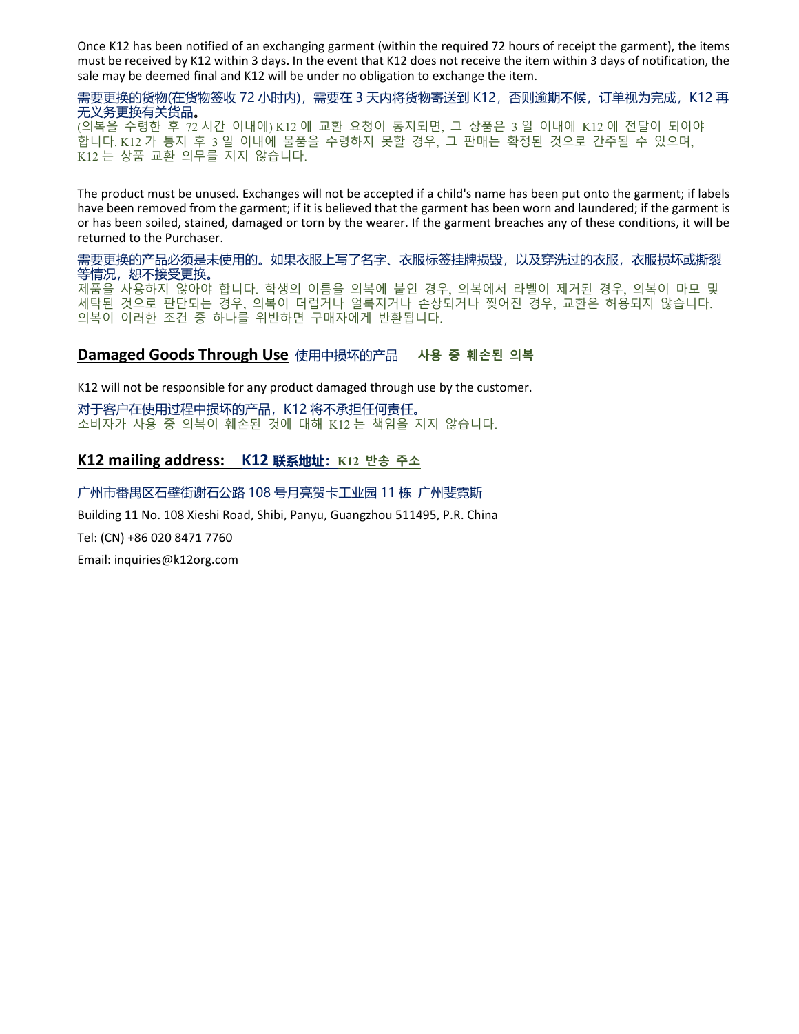Once K12 has been notified of an exchanging garment (within the required 72 hours of receipt the garment), the items must be received by K12 within 3 days. In the event that K12 does not receive the item within 3 days of notification, the sale may be deemed final and K12 will be under no obligation to exchange the item.

需要更换的货物(在货物签收 72 小时内),需要在 3 天内将货物寄送到 K12,否则逾期不候,订单视为完成,K12 再 无义务更换有关货品。 (의복을 수령한 후 72 시간 이내에) K12 에 교환 요청이 통지되면, 그 상품은 3 일 이내에 K12 에 전달이 되어야

합니다. K12 가 통지 후 3 일 이내에 물품을 수령하지 못할 경우, 그 판매는 확정된 것으로 간주될 수 있으며, K12 는 상품 교환 의무를 지지 않습니다.

The product must be unused. Exchanges will not be accepted if a child's name has been put onto the garment; if labels have been removed from the garment; if it is believed that the garment has been worn and laundered; if the garment is or has been soiled, stained, damaged or torn by the wearer. If the garment breaches any of these conditions, it will be returned to the Purchaser.

需要更换的产品必须是未使用的。如果衣服上写了名字、衣服标签挂牌损毁,以及穿洗过的衣服,衣服损坏或撕裂 等情况,恕不接受更换。 제품을 사용하지 않아야 합니다. 학생의 이름을 의복에 붙인 경우, 의복에서 라벨이 제거된 경우, 의복이 마모 및 세탁된 것으로 판단되는 경우, 의복이 더럽거나 얼룩지거나 손상되거나 찢어진 경우, 교환은 허용되지 않습니다. 의복이 이러한 조건 중 하나를 위반하면 구매자에게 반환됩니다.

## **Damaged Goods Through Use** 使用中损坏的产品 **사용 중 훼손된 의복**

K12 will not be responsible for any product damaged through use by the customer.

对于客户在使用过程中损坏的产品, K12 将不承担任何责任。 소비자가 사용 중 의복이 훼손된 것에 대해 K12 는 책임을 지지 않습니다.

## **K12 mailing address: K12 联系地址:K12 반송 주소**

### 广州市番禺区石壁街谢石公路 108 号月亮贺卡工业园 11 栋 广州斐霓斯

Building 11 No. 108 Xieshi Road, Shibi, Panyu, Guangzhou 511495, P.R. China Tel: (CN) +86 020 8471 7760

Email: inquiries@k12org.com